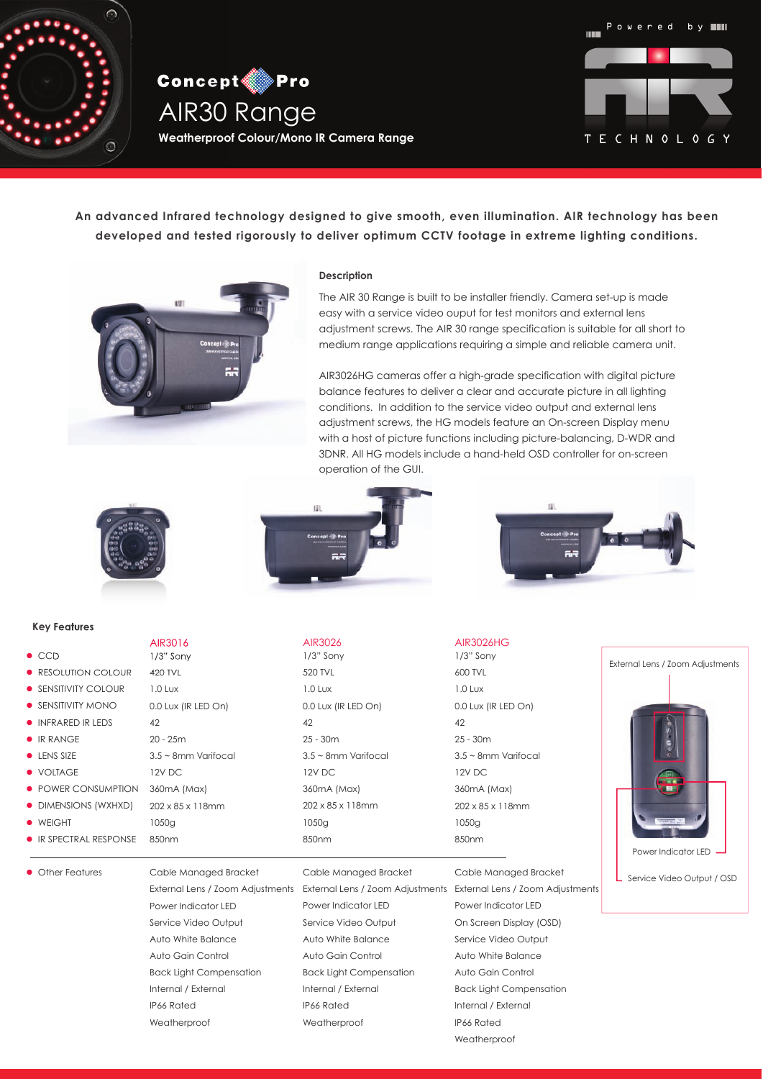

**Concept Pro** AIR30 Range **Weatherproof Colour/Mono IR Camera Range**



**An advanced Infrared technology designed to give smooth, even illumination. AIR technology has been developed and tested rigorously to deliver optimum CCTV footage in extreme lighting conditions.**



### **Description**

The AIR 30 Range is built to be installer friendly. Camera set-up is made easy with a service video ouput for test monitors and external lens adjustment screws. The AIR 30 range specification is suitable for all short to medium range applications requiring a simple and reliable camera unit.

AIR3026HG cameras offer a high-grade specification with digital picture balance features to deliver a clear and accurate picture in all lighting conditions. In addition to the service video output and external lens adjustment screws, the HG models feature an On-screen Display menu with a host of picture functions including picture-balancing, D-WDR and 3DNR. All HG models include a hand-held OSD controller for on-screen operation of the GUI.

 $\mathbf{H}$ 



#### **Key Features**

- $\bullet$  CCD
- **RESOLUTION COLOUR**
- **SENSITIVITY COLOUR**
- **SENSITIVITY MONO**
- **INFRARED IR LEDS**
- **IR RANGE**
- $\bullet$  LENS SIZE
- VOLTAGE
- **POWER CONSUMPTION**
- DIMENSIONS (WXHXD)
- **•** WEIGHT

**•** Other Features

850nm **IR SPECTRAL RESPONSE** 





## AIR3016 AIR3026 AIR3026HG

1/3" Sony 520 TVL 1.0 Lux 0.0 Lux (IR LED On) 42 25 - 30m 3.5 ~ 8mm Varifocal 12V DC 360mA (Max) 202 x 85 x 118mm 1050g 850nm

# 1/3" Sony 600 TVL 1.0 Lux 0.0 Lux (IR LED On) 42 25 - 30m 3.5 ~ 8mm Varifocal 12V DC 360mA (Max) 202 x 85 x 118mm 1050g 850nm

External Lens / Zoom Adjustments External Lens / Zoom Adjustments External Lens / Zoom Adjustments Cable Managed Bracket Power Indicator LED On Screen Display (OSD) Service Video Output Auto White Balance Auto Gain Control Back Light Compensation Internal / External IP66 Rated Weatherproof



Service Video Output / OSD

Cable Managed Bracket Power Indicator LED Service Video Output Auto White Balance Auto Gain Control Back Light Compensation Internal / External IP66 Rated Weatherproof

Cable Managed Bracket Power Indicator LED Service Video Output Auto White Balance Auto Gain Control Back Light Compensation Internal / External IP66 Rated Weatherproof